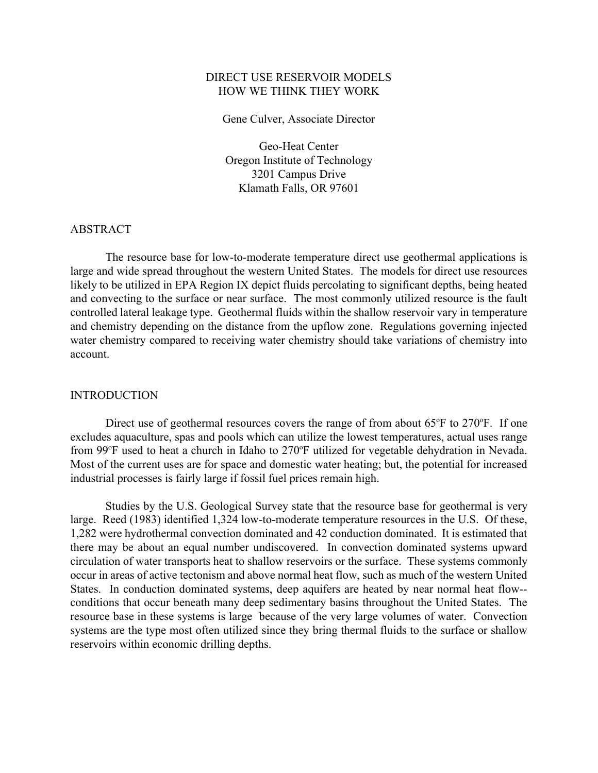## DIRECT USE RESERVOIR MODELS HOW WE THINK THEY WORK

Gene Culver, Associate Director

Geo-Heat Center Oregon Institute of Technology 3201 Campus Drive Klamath Falls, OR 97601

#### ABSTRACT

The resource base for low-to-moderate temperature direct use geothermal applications is large and wide spread throughout the western United States. The models for direct use resources likely to be utilized in EPA Region IX depict fluids percolating to significant depths, being heated and convecting to the surface or near surface. The most commonly utilized resource is the fault controlled lateral leakage type. Geothermal fluids within the shallow reservoir vary in temperature and chemistry depending on the distance from the upflow zone. Regulations governing injected water chemistry compared to receiving water chemistry should take variations of chemistry into account.

### INTRODUCTION

Direct use of geothermal resources covers the range of from about  $65^{\circ}$ F to  $270^{\circ}$ F. If one excludes aquaculture, spas and pools which can utilize the lowest temperatures, actual uses range from 99°F used to heat a church in Idaho to 270°F utilized for vegetable dehydration in Nevada. Most of the current uses are for space and domestic water heating; but, the potential for increased industrial processes is fairly large if fossil fuel prices remain high.

Studies by the U.S. Geological Survey state that the resource base for geothermal is very large. Reed (1983) identified 1,324 low-to-moderate temperature resources in the U.S. Of these, 1,282 were hydrothermal convection dominated and 42 conduction dominated. It is estimated that there may be about an equal number undiscovered. In convection dominated systems upward circulation of water transports heat to shallow reservoirs or the surface. These systems commonly occur in areas of active tectonism and above normal heat flow, such as much of the western United States. In conduction dominated systems, deep aquifers are heated by near normal heat flow- conditions that occur beneath many deep sedimentary basins throughout the United States. The resource base in these systems is large because of the very large volumes of water. Convection systems are the type most often utilized since they bring thermal fluids to the surface or shallow reservoirs within economic drilling depths.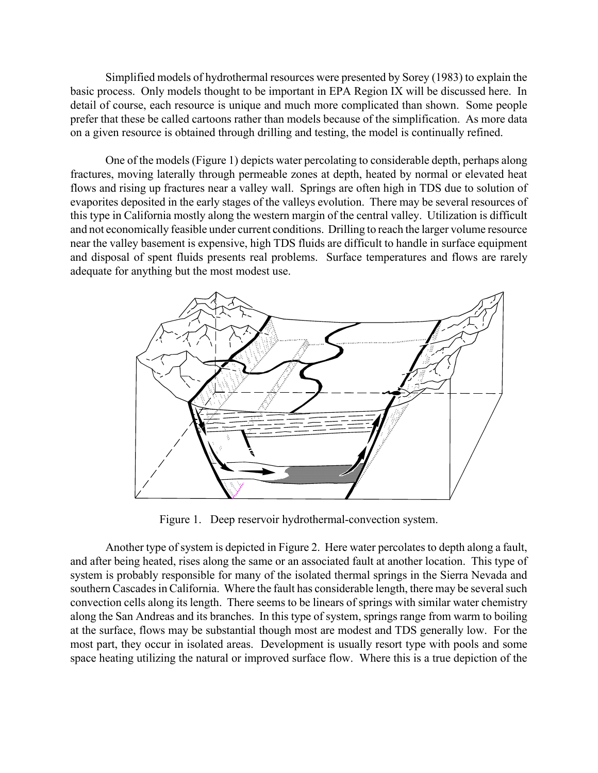Simplified models of hydrothermal resources were presented by Sorey (1983) to explain the basic process. Only models thought to be important in EPA Region IX will be discussed here. In detail of course, each resource is unique and much more complicated than shown. Some people prefer that these be called cartoons rather than models because of the simplification. As more data on a given resource is obtained through drilling and testing, the model is continually refined.

One of the models (Figure 1) depicts water percolating to considerable depth, perhaps along fractures, moving laterally through permeable zones at depth, heated by normal or elevated heat flows and rising up fractures near a valley wall. Springs are often high in TDS due to solution of evaporites deposited in the early stages of the valleys evolution. There may be several resources of this type in California mostly along the western margin of the central valley. Utilization is difficult and not economically feasible under current conditions. Drilling to reach the larger volume resource near the valley basement is expensive, high TDS fluids are difficult to handle in surface equipment and disposal of spent fluids presents real problems. Surface temperatures and flows are rarely adequate for anything but the most modest use.



Figure 1. Deep reservoir hydrothermal-convection system.

Another type of system is depicted in Figure 2. Here water percolates to depth along a fault, and after being heated, rises along the same or an associated fault at another location. This type of system is probably responsible for many of the isolated thermal springs in the Sierra Nevada and southern Cascades in California. Where the fault has considerable length, there may be several such convection cells along its length. There seems to be linears of springs with similar water chemistry along the San Andreas and its branches. In this type of system, springs range from warm to boiling at the surface, flows may be substantial though most are modest and TDS generally low. For the most part, they occur in isolated areas. Development is usually resort type with pools and some space heating utilizing the natural or improved surface flow. Where this is a true depiction of the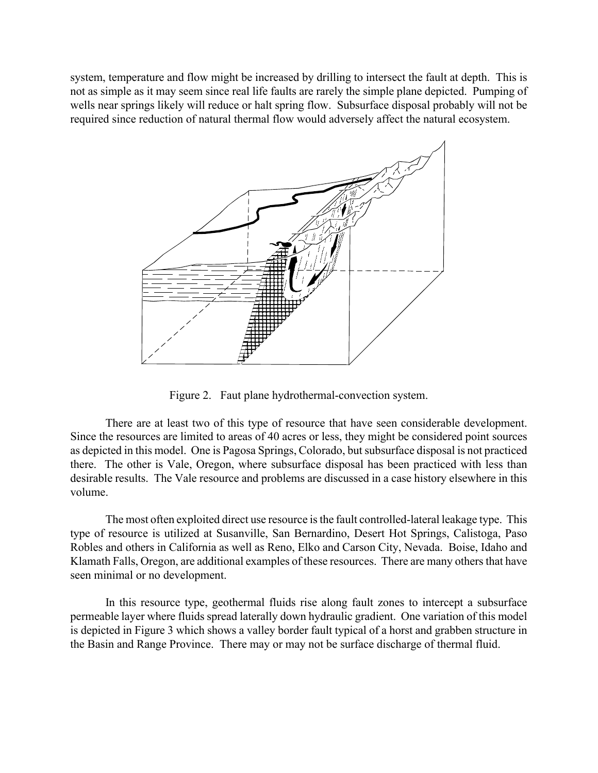system, temperature and flow might be increased by drilling to intersect the fault at depth. This is not as simple as it may seem since real life faults are rarely the simple plane depicted. Pumping of wells near springs likely will reduce or halt spring flow. Subsurface disposal probably will not be required since reduction of natural thermal flow would adversely affect the natural ecosystem.



Figure 2. Faut plane hydrothermal-convection system.

There are at least two of this type of resource that have seen considerable development. Since the resources are limited to areas of 40 acres or less, they might be considered point sources as depicted in this model. One is Pagosa Springs, Colorado, but subsurface disposal is not practiced there. The other is Vale, Oregon, where subsurface disposal has been practiced with less than desirable results. The Vale resource and problems are discussed in a case history elsewhere in this volume.

The most often exploited direct use resource is the fault controlled-lateral leakage type. This type of resource is utilized at Susanville, San Bernardino, Desert Hot Springs, Calistoga, Paso Robles and others in California as well as Reno, Elko and Carson City, Nevada. Boise, Idaho and Klamath Falls, Oregon, are additional examples of these resources. There are many others that have seen minimal or no development.

In this resource type, geothermal fluids rise along fault zones to intercept a subsurface permeable layer where fluids spread laterally down hydraulic gradient. One variation of this model is depicted in Figure 3 which shows a valley border fault typical of a horst and grabben structure in the Basin and Range Province. There may or may not be surface discharge of thermal fluid.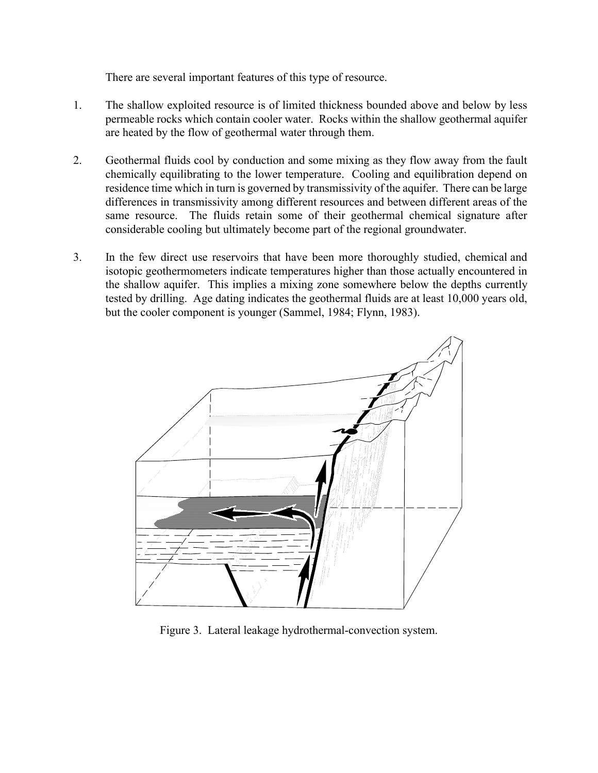There are several important features of this type of resource.

- 1. The shallow exploited resource is of limited thickness bounded above and below by less permeable rocks which contain cooler water. Rocks within the shallow geothermal aquifer are heated by the flow of geothermal water through them.
- 2. Geothermal fluids cool by conduction and some mixing as they flow away from the fault chemically equilibrating to the lower temperature. Cooling and equilibration depend on residence time which in turn is governed by transmissivity of the aquifer. There can be large differences in transmissivity among different resources and between different areas of the same resource. The fluids retain some of their geothermal chemical signature after considerable cooling but ultimately become part of the regional groundwater.
- 3. In the few direct use reservoirs that have been more thoroughly studied, chemical and isotopic geothermometers indicate temperatures higher than those actually encountered in the shallow aquifer. This implies a mixing zone somewhere below the depths currently tested by drilling. Age dating indicates the geothermal fluids are at least 10,000 years old, but the cooler component is younger (Sammel, 1984; Flynn, 1983).



Figure 3. Lateral leakage hydrothermal-convection system.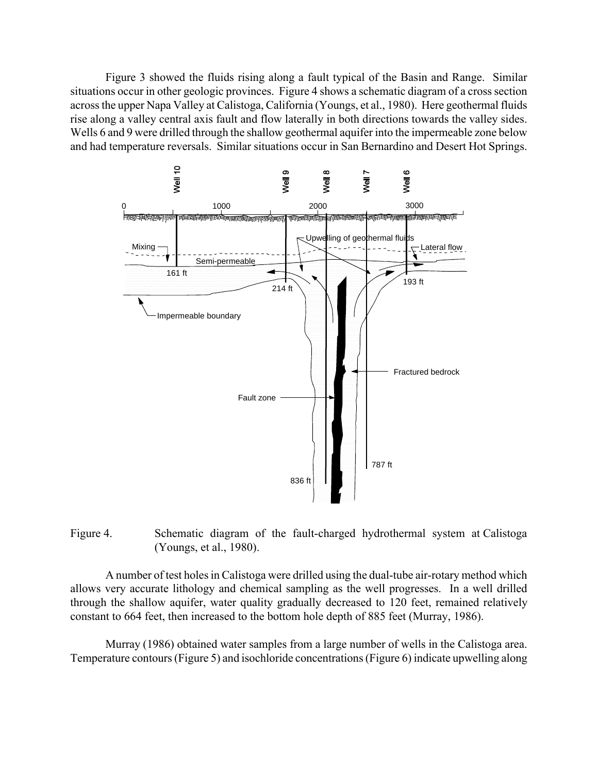Figure 3 showed the fluids rising along a fault typical of the Basin and Range. Similar situations occur in other geologic provinces. Figure 4 shows a schematic diagram of a cross section across the upper Napa Valley at Calistoga, California (Youngs, et al., 1980). Here geothermal fluids rise along a valley central axis fault and flow laterally in both directions towards the valley sides. Wells 6 and 9 were drilled through the shallow geothermal aquifer into the impermeable zone below and had temperature reversals. Similar situations occur in San Bernardino and Desert Hot Springs.



# Figure 4. Schematic diagram of the fault-charged hydrothermal system at Calistoga (Youngs, et al., 1980).

A number of test holes in Calistoga were drilled using the dual-tube air-rotary method which allows very accurate lithology and chemical sampling as the well progresses. In a well drilled through the shallow aquifer, water quality gradually decreased to 120 feet, remained relatively constant to 664 feet, then increased to the bottom hole depth of 885 feet (Murray, 1986).

Murray (1986) obtained water samples from a large number of wells in the Calistoga area. Temperature contours (Figure 5) and isochloride concentrations (Figure 6) indicate upwelling along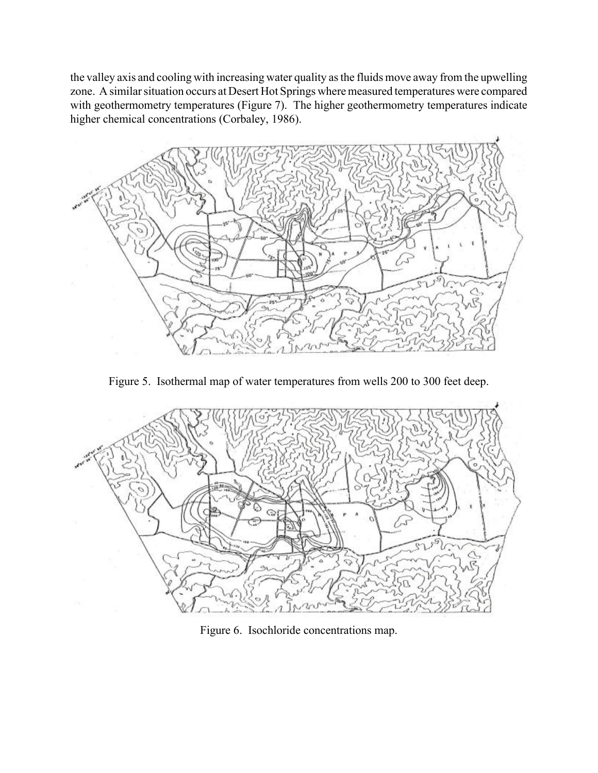the valley axis and cooling with increasing water quality as the fluids move away from the upwelling zone. A similar situation occurs at Desert Hot Springs where measured temperatures were compared with geothermometry temperatures (Figure 7). The higher geothermometry temperatures indicate higher chemical concentrations (Corbaley, 1986).



Figure 5. Isothermal map of water temperatures from wells 200 to 300 feet deep.



Figure 6. Isochloride concentrations map.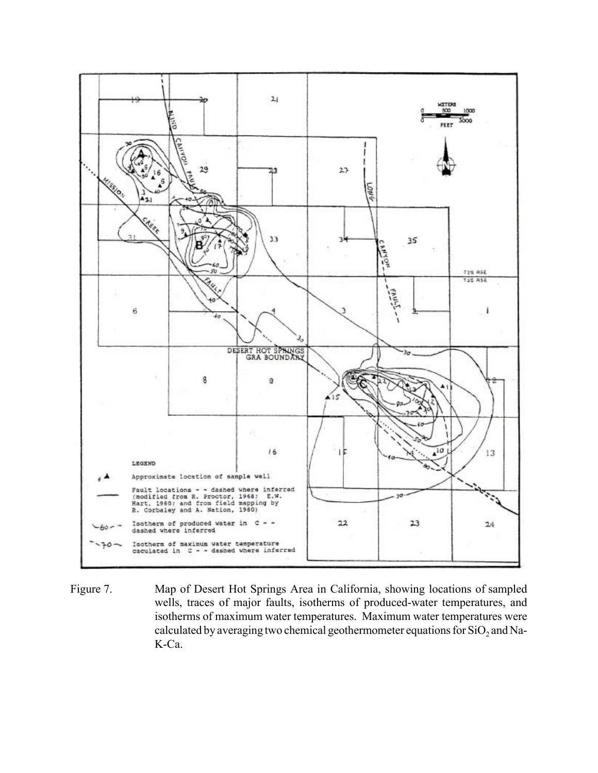

Figure 7. Map of Desert Hot Springs Area in California, showing locations of sampled wells, traces of major faults, isotherms of produced-water temperatures, and isotherms of maximum water temperatures. Maximum water temperatures were calculated by averaging two chemical geothermometer equations for  $\mathrm{SiO}_2$  and Na-K-Ca.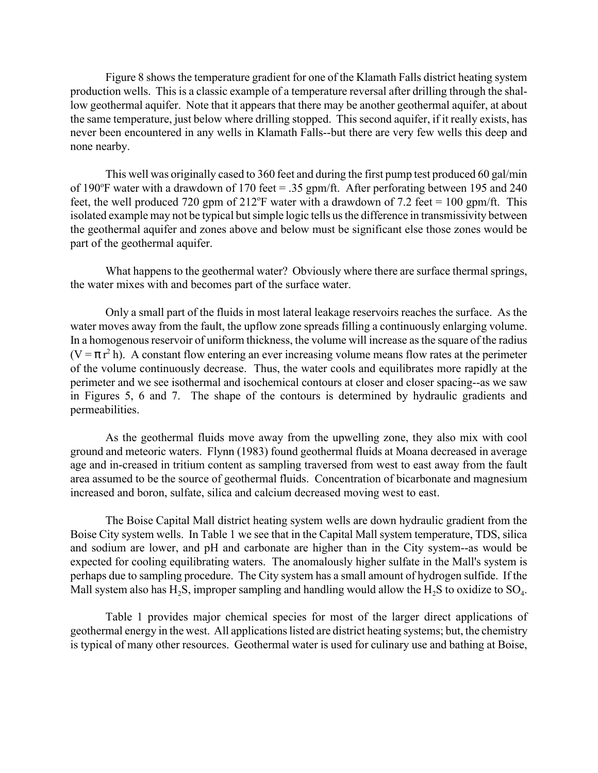Figure 8 shows the temperature gradient for one of the Klamath Falls district heating system production wells. This is a classic example of a temperature reversal after drilling through the shallow geothermal aquifer. Note that it appears that there may be another geothermal aquifer, at about the same temperature, just below where drilling stopped. This second aquifer, if it really exists, has never been encountered in any wells in Klamath Falls--but there are very few wells this deep and none nearby.

This well was originally cased to 360 feet and during the first pump test produced 60 gal/min of 190 $\degree$ F water with a drawdown of 170 feet = .35 gpm/ft. After perforating between 195 and 240 feet, the well produced 720 gpm of  $212^{\circ}$ F water with a drawdown of 7.2 feet = 100 gpm/ft. This isolated example may not be typical but simple logic tells us the difference in transmissivity between the geothermal aquifer and zones above and below must be significant else those zones would be part of the geothermal aquifer.

What happens to the geothermal water? Obviously where there are surface thermal springs, the water mixes with and becomes part of the surface water.

Only a small part of the fluids in most lateral leakage reservoirs reaches the surface. As the water moves away from the fault, the upflow zone spreads filling a continuously enlarging volume. In a homogenous reservoir of uniform thickness, the volume will increase as the square of the radius  $(V = \pi r^2 h)$ . A constant flow entering an ever increasing volume means flow rates at the perimeter of the volume continuously decrease. Thus, the water cools and equilibrates more rapidly at the perimeter and we see isothermal and isochemical contours at closer and closer spacing--as we saw in Figures 5, 6 and 7. The shape of the contours is determined by hydraulic gradients and permeabilities.

As the geothermal fluids move away from the upwelling zone, they also mix with cool ground and meteoric waters. Flynn (1983) found geothermal fluids at Moana decreased in average age and in-creased in tritium content as sampling traversed from west to east away from the fault area assumed to be the source of geothermal fluids. Concentration of bicarbonate and magnesium increased and boron, sulfate, silica and calcium decreased moving west to east.

The Boise Capital Mall district heating system wells are down hydraulic gradient from the Boise City system wells. In Table 1 we see that in the Capital Mall system temperature, TDS, silica and sodium are lower, and pH and carbonate are higher than in the City system--as would be expected for cooling equilibrating waters. The anomalously higher sulfate in the Mall's system is perhaps due to sampling procedure. The City system has a small amount of hydrogen sulfide. If the Mall system also has H<sub>2</sub>S, improper sampling and handling would allow the H<sub>2</sub>S to oxidize to SO<sub>4</sub>.

Table 1 provides major chemical species for most of the larger direct applications of geothermal energy in the west. All applications listed are district heating systems; but, the chemistry is typical of many other resources. Geothermal water is used for culinary use and bathing at Boise,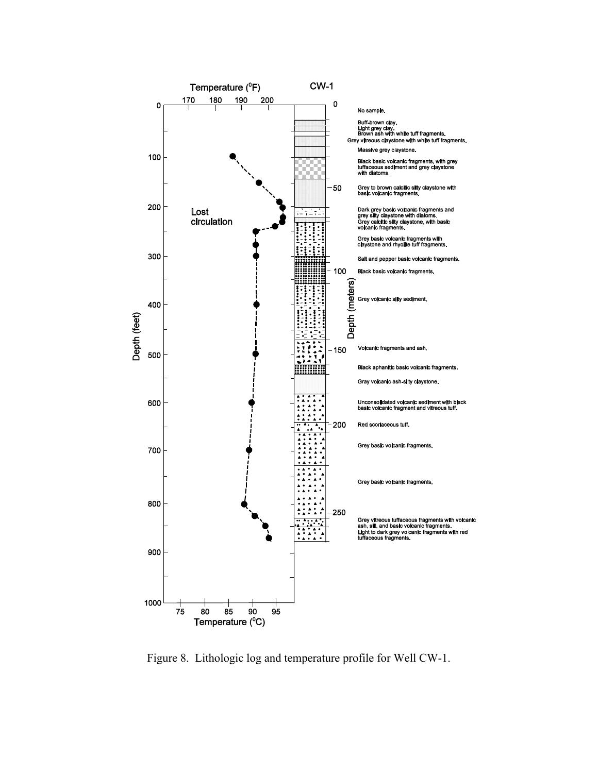

Figure 8. Lithologic log and temperature profile for Well CW-1.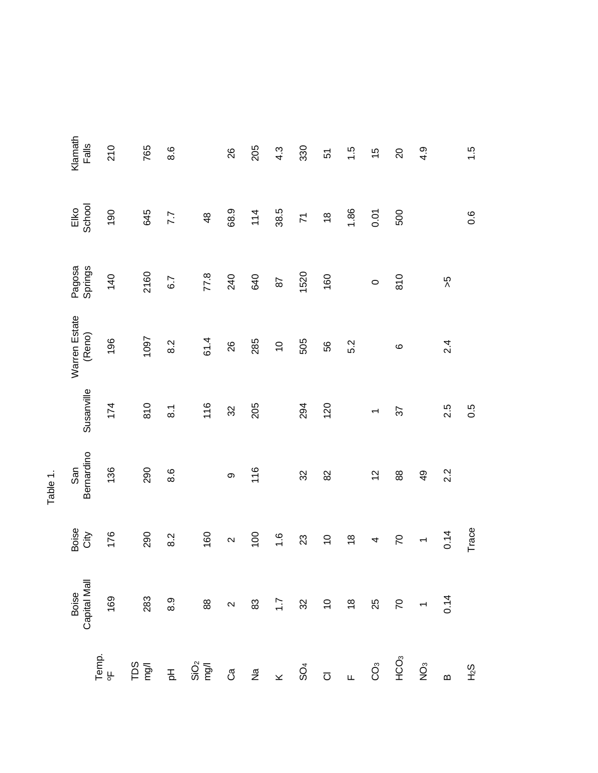|                         | Boise<br>Capital Mall | Boise<br>City            | Bernardino<br>San | Susanville               | Warren Estate<br>(Reno) | Springs<br>Pagosa | School<br>Elko                 | Klamath<br>Falls |
|-------------------------|-----------------------|--------------------------|-------------------|--------------------------|-------------------------|-------------------|--------------------------------|------------------|
| Temp.                   | 169                   | 176                      | 136               | 174                      | 196                     | 140               | 190                            | 210              |
|                         | 283                   |                          |                   |                          |                         |                   |                                |                  |
|                         |                       | 290                      | 290               | 810                      | 1097                    | 2160              | 645                            | 765              |
|                         |                       | 8.2                      | 8.6               | $\overline{8}$           | 8.2                     | 6.7               | 7.7                            | 8.6              |
|                         |                       |                          |                   |                          |                         |                   |                                |                  |
|                         |                       | 160                      |                   | 116                      | 61.4                    | 77.8              | $\frac{4}{8}$                  |                  |
|                         |                       | $\mathbf{\Omega}$        | တ                 | 32                       | 26                      | 240               | 68.9                           | 26               |
|                         |                       | 100                      | 116               | 205                      | 285                     | 640               | 114                            | 205              |
|                         |                       | 1.6                      |                   |                          | $\overline{C}$          | 87                | 38.5                           | $4.\overline{3}$ |
|                         |                       | 23                       | $32\,$            | 294                      | 505                     | 1520              | $\overline{z}$                 | 330              |
|                         | $32 9 8 8 8 - 7$      | $\overline{C}$           | 82                | 120                      | 56                      | 160               | $\overset{\circ}{\phantom{a}}$ | 57               |
|                         |                       | $\frac{8}{1}$            |                   |                          | 5.2                     |                   | 1.86                           | 1.5              |
|                         |                       | 4                        | $\frac{2}{3}$     | $\overline{\phantom{0}}$ |                         | $\circ$           | 0.01                           | $\frac{5}{1}$    |
| $rac{c}{2}$             |                       | $\overline{C}$           | 88                | 57                       | $\circ$                 | 810               | 500                            | $\overline{c}$   |
| $\mathring{\mathrm{Q}}$ |                       | $\overline{\phantom{0}}$ | $\frac{9}{4}$     |                          |                         |                   |                                | 4.9              |
| $\mathbf{a}$            |                       | 0.14                     | 2.2               | 2.5                      | 2.4                     | 5<                |                                |                  |
| F <sub>2</sub>          |                       | Trace                    |                   | 0.5                      |                         |                   | $0.\overline{6}$               | 1.5              |

Table 1.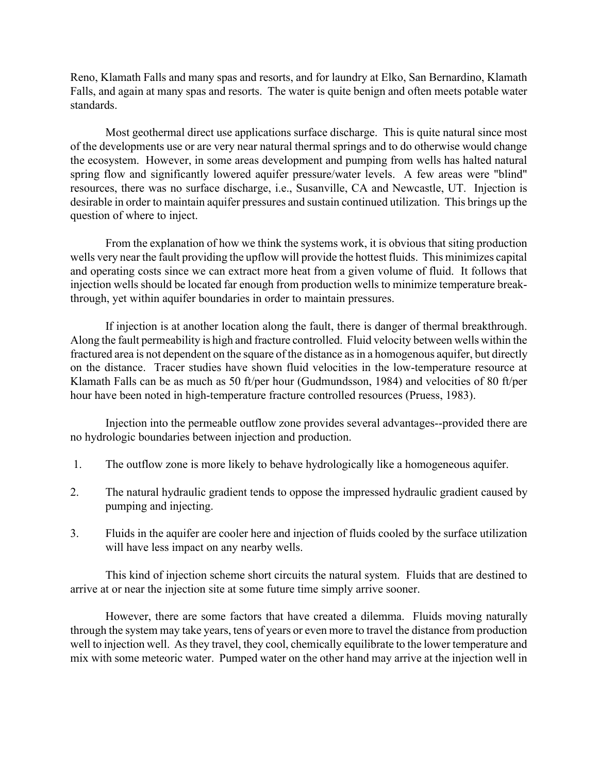Reno, Klamath Falls and many spas and resorts, and for laundry at Elko, San Bernardino, Klamath Falls, and again at many spas and resorts. The water is quite benign and often meets potable water standards.

Most geothermal direct use applications surface discharge. This is quite natural since most of the developments use or are very near natural thermal springs and to do otherwise would change the ecosystem. However, in some areas development and pumping from wells has halted natural spring flow and significantly lowered aquifer pressure/water levels. A few areas were "blind" resources, there was no surface discharge, i.e., Susanville, CA and Newcastle, UT. Injection is desirable in order to maintain aquifer pressures and sustain continued utilization. This brings up the question of where to inject.

From the explanation of how we think the systems work, it is obvious that siting production wells very near the fault providing the upflow will provide the hottest fluids. This minimizes capital and operating costs since we can extract more heat from a given volume of fluid. It follows that injection wells should be located far enough from production wells to minimize temperature breakthrough, yet within aquifer boundaries in order to maintain pressures.

If injection is at another location along the fault, there is danger of thermal breakthrough. Along the fault permeability is high and fracture controlled. Fluid velocity between wells within the fractured area is not dependent on the square of the distance as in a homogenous aquifer, but directly on the distance. Tracer studies have shown fluid velocities in the low-temperature resource at Klamath Falls can be as much as 50 ft/per hour (Gudmundsson, 1984) and velocities of 80 ft/per hour have been noted in high-temperature fracture controlled resources (Pruess, 1983).

Injection into the permeable outflow zone provides several advantages--provided there are no hydrologic boundaries between injection and production.

- 1. The outflow zone is more likely to behave hydrologically like a homogeneous aquifer.
- 2. The natural hydraulic gradient tends to oppose the impressed hydraulic gradient caused by pumping and injecting.
- 3. Fluids in the aquifer are cooler here and injection of fluids cooled by the surface utilization will have less impact on any nearby wells.

This kind of injection scheme short circuits the natural system. Fluids that are destined to arrive at or near the injection site at some future time simply arrive sooner.

However, there are some factors that have created a dilemma. Fluids moving naturally through the system may take years, tens of years or even more to travel the distance from production well to injection well. As they travel, they cool, chemically equilibrate to the lower temperature and mix with some meteoric water. Pumped water on the other hand may arrive at the injection well in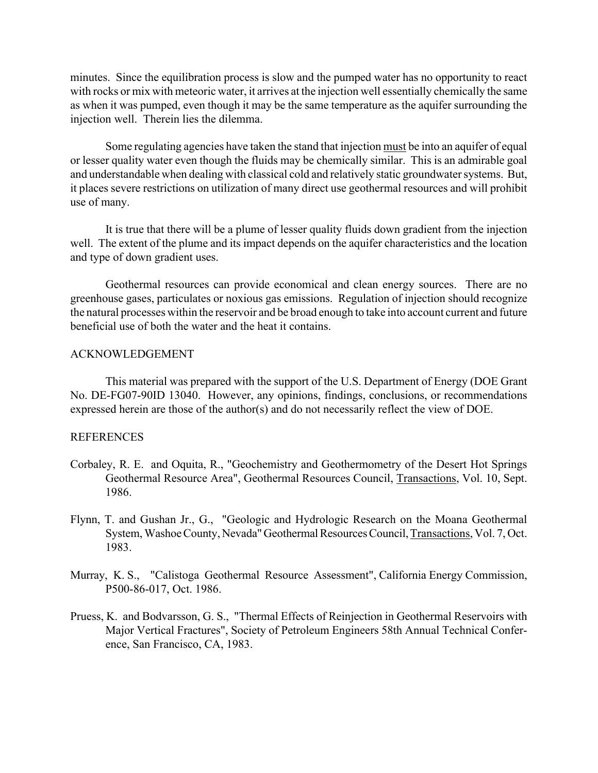minutes. Since the equilibration process is slow and the pumped water has no opportunity to react with rocks or mix with meteoric water, it arrives at the injection well essentially chemically the same as when it was pumped, even though it may be the same temperature as the aquifer surrounding the injection well. Therein lies the dilemma.

Some regulating agencies have taken the stand that injection must be into an aquifer of equal or lesser quality water even though the fluids may be chemically similar. This is an admirable goal and understandable when dealing with classical cold and relatively static groundwater systems. But, it places severe restrictions on utilization of many direct use geothermal resources and will prohibit use of many.

It is true that there will be a plume of lesser quality fluids down gradient from the injection well. The extent of the plume and its impact depends on the aquifer characteristics and the location and type of down gradient uses.

Geothermal resources can provide economical and clean energy sources. There are no greenhouse gases, particulates or noxious gas emissions. Regulation of injection should recognize the natural processes within the reservoir and be broad enough to take into account current and future beneficial use of both the water and the heat it contains.

## ACKNOWLEDGEMENT

This material was prepared with the support of the U.S. Department of Energy (DOE Grant No. DE-FG07-90ID 13040. However, any opinions, findings, conclusions, or recommendations expressed herein are those of the author(s) and do not necessarily reflect the view of DOE.

### REFERENCES

- Corbaley, R. E. and Oquita, R., "Geochemistry and Geothermometry of the Desert Hot Springs Geothermal Resource Area", Geothermal Resources Council, Transactions, Vol. 10, Sept. 1986.
- Flynn, T. and Gushan Jr., G., "Geologic and Hydrologic Research on the Moana Geothermal System, Washoe County, Nevada" Geothermal Resources Council,Transactions, Vol. 7, Oct. 1983.
- Murray, K. S., "Calistoga Geothermal Resource Assessment", California Energy Commission, P500-86-017, Oct. 1986.
- Pruess, K. and Bodvarsson, G. S., "Thermal Effects of Reinjection in Geothermal Reservoirs with Major Vertical Fractures", Society of Petroleum Engineers 58th Annual Technical Conference, San Francisco, CA, 1983.